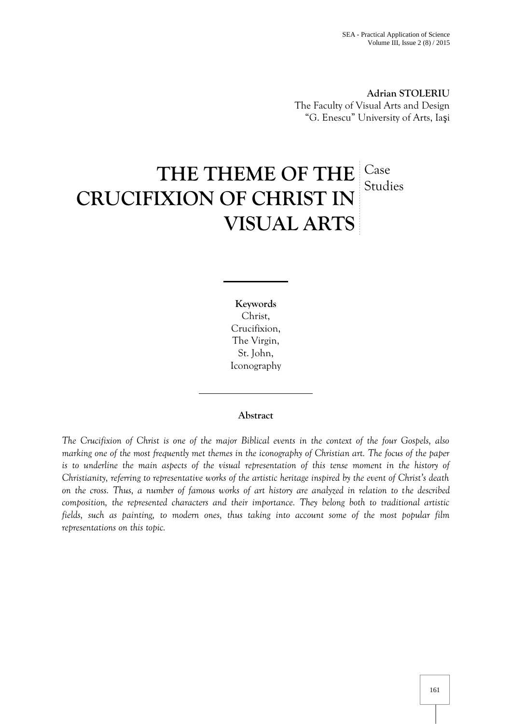**Adrian STOLERIU** The Faculty of Visual Arts and Design "G. Enescu" University of Arts, Ia i

# THE THEME OF THE Case **CRUCIFIXION OF CHRIST IN VISUAL ARTS** Studies

**Keywords** Christ, Crucifixion, The Virgin, St. John, Iconography

# **Abstract**

*The Crucifixion of Christ is one of the major Biblical events in the context of the four Gospels, also marking one of the most frequently met themes in the iconography of Christian art. The focus of the paper is to underline the main aspects of the visual representation of this tense moment in the history of Christianity, referring to representative works of the artistic heritage inspired by the event of Christ's death on the cross. Thus, a number of famous works of art history are analyzed in relation to the described composition, the represented characters and their importance. They belong both to traditional artistic fields, such as painting, to modern ones, thus taking into account some of the most popular film representations on this topic.*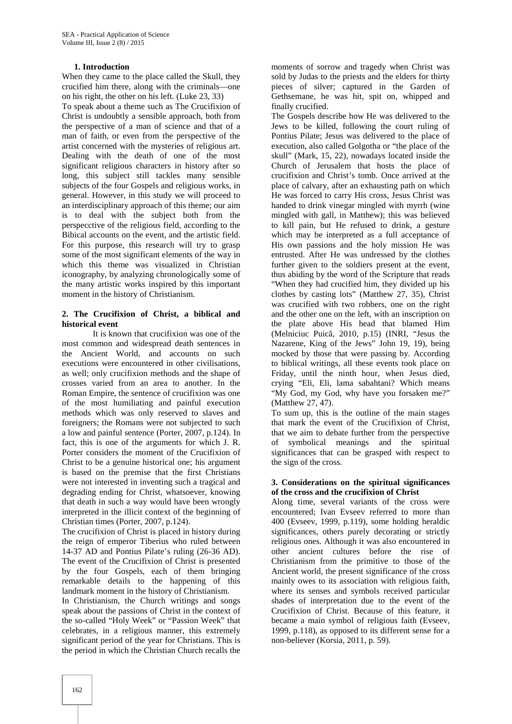## **1. Introduction**

When they came to the place called the Skull, they crucified him there, along with the criminals—one on his right, the other on his left. (Luke 23, 33)

To speak about a theme such as The Crucifixion of Christ is undoubtly a sensible approach, both from the perspective of a man of science and that of a man of faith, or even from the perspective of the artist concerned with the mysteries of religious art. Dealing with the death of one of the most significant religious characters in history after so long, this subject still tackles many sensible subjects of the four Gospels and religious works, in general. However, in this study we will proceed to an interdisciplinary approach of this theme; our aim is to deal with the subject both from the perspecctive of the religious field, according to the Bibical accounts on the event, and the artistic field. For this purpose, this research will try to grasp some of the most significant elements of the way in which this theme was visualized in Christian iconography, by analyzing chronologically some of the many artistic works inspired by this important moment in the history of Christianism.

#### **2. The Crucifixion of Christ, a biblical and historical event**

It is known that crucifixion was one of the most common and widespread death sentences in the Ancient World, and accounts on such executions were encountered in other civilisations, as well; only crucifixion methods and the shape of crosses varied from an area to another. In the Roman Empire, the sentence of crucifixion was one of the most humiliating and painful execution methods which was only reserved to slaves and foreigners; the Romans were not subjected to such a low and painful sentence (Porter, 2007, p.124). In fact, this is one of the arguments for which J. R. Porter considers the moment of the Crucifixion of Christ to be a genuine historical one; his argument is based on the premise that the first Christians were not interested in inventing such a tragical and degrading ending for Christ, whatsoever, knowing that death in such a way would have been wrongly interpreted in the illicit context of the beginning of Christian times (Porter, 2007, p.124).

The crucifixion of Christ is placed in history during the reign of emperor Tiberius who ruled between 14-37 AD and Pontius Pilate's ruling (26-36 AD). The event of the Crucifixion of Christ is presented by the four Gospels, each of them bringing remarkable details to the happening of this landmark moment in the history of Christianism.

In Christianism, the Church writings and songs speak about the passions of Christ in the context of the so-called "Holy Week" or "Passion Week" that celebrates, in a religious manner, this extremely significant period of the year for Christians. This is the period in which the Christian Church recalls the

moments of sorrow and tragedy when Christ was sold by Judas to the priests and the elders for thirty pieces of silver; captured in the Garden of Gethsemane, he was hit, spit on, whipped and finally crucified.

The Gospels describe how He was delivered to the Jews to be killed, following the court ruling of Pontius Pilate; Jesus was delivered to the place of execution, also called Golgotha or "the place of the skull" (Mark, 15, 22), nowadays located inside the Church of Jerusalem that hosts the place of crucifixion and Christ's tomb. Once arrived at the place of calvary, after an exhausting path on which He was forced to carry His cross, Jesus Christ was handed to drink vinegar mingled with myrrh (wine mingled with gall, in Matthew); this was believed to kill pain, but He refused to drink, a gesture which may be interpreted as a full acceptance of His own passions and the holy mission He was entrusted. After He was undressed by the clothes further given to the soldiers present at the event, thus abiding by the word of the Scripture that reads "When they had crucified him, they divided up his clothes by casting lots" (Matthew 27, 35), Christ was crucified with two robbers, one on the right and the other one on the left, with an inscription on the plate above His head that blamed Him (Melniciuc Puic, 2010, p.15) (INRI, "Jesus the Nazarene, King of the Jews" John 19, 19), being mocked by those that were passing by. According to biblical writings, all these events took place on Friday, until the ninth hour, when Jesus died, crying "Eli, Eli, lama sabahtani? Which means "My God, my God, why have you forsaken me?" (Matthew 27, 47).

To sum up, this is the outline of the main stages that mark the event of the Crucifixion of Christ, that we aim to debate further from the perspective of symbolical meanings and the spiritual significances that can be grasped with respect to the sign of the cross.

#### **3. Considerations on the spiritual significances of the cross and the crucifixion of Christ**

Along time, several variants of the cross were encountered; Ivan Evseev referred to more than 400 (Evseev, 1999, p.119), some holding heraldic significances, others purely decorating or strictly religious ones. Although it was also encountered in other ancient cultures before the rise of Christianism from the primitive to those of the Ancient world, the present significance of the cross mainly owes to its association with religious faith, where its senses and symbols received particular shades of interpretation due to the event of the Crucifixion of Christ. Because of this feature, it became a main symbol of religious faith (Evseev, 1999, p.118), as opposed to its different sense for a non-believer (Korsia, 2011, p. 59).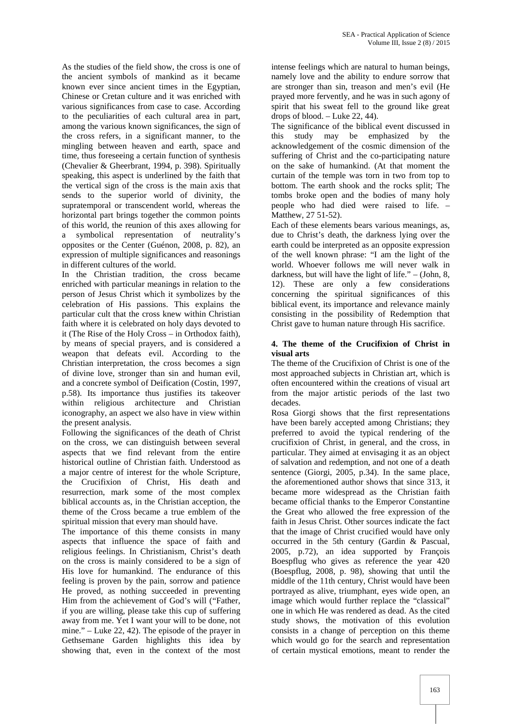As the studies of the field show, the cross is one of the ancient symbols of mankind as it became known ever since ancient times in the Egyptian, Chinese or Cretan culture and it was enriched with various significances from case to case. According to the peculiarities of each cultural area in part, among the various known significances, the sign of the cross refers, in a significant manner, to the mingling between heaven and earth, space and time, thus foreseeing a certain function of synthesis (Chevalier & Gheerbrant, 1994, p. 398). Spiritually speaking, this aspect is underlined by the faith that the vertical sign of the cross is the main axis that sends to the superior world of divinity, the supratemporal or transcendent world, whereas the horizontal part brings together the common points of this world, the reunion of this axes allowing for a symbolical representation of neutrality's opposites or the Center (Guénon, 2008, p. 82), an expression of multiple significances and reasonings in different cultures of the world.

In the Christian tradition, the cross became enriched with particular meanings in relation to the person of Jesus Christ which it symbolizes by the celebration of His passions. This explains the particular cult that the cross knew within Christian faith where it is celebrated on holy days devoted to it (The Rise of the Holy Cross – in Orthodox faith), by means of special prayers, and is considered a weapon that defeats evil. According to the Christian interpretation, the cross becomes a sign of divine love, stronger than sin and human evil, and a concrete symbol of Deification (Costin, 1997, p.58). Its importance thus justifies its takeover within religious architecture and Christian iconography, an aspect we also have in view within the present analysis.

Following the significances of the death of Christ on the cross, we can distinguish between several aspects that we find relevant from the entire historical outline of Christian faith. Understood as a major centre of interest for the whole Scripture, the Crucifixion of Christ, His death and resurrection, mark some of the most complex biblical accounts as, in the Christian acception, the theme of the Cross became a true emblem of the spiritual mission that every man should have.

The importance of this theme consists in many aspects that influence the space of faith and religious feelings. In Christianism, Christ's death on the cross is mainly considered to be a sign of His love for humankind. The endurance of this feeling is proven by the pain, sorrow and patience He proved, as nothing succeeded in preventing Him from the achievement of God's will ("Father, if you are willing, please take this cup of suffering away from me. Yet I want your will to be done, not mine." – Luke 22, 42). The episode of the prayer in Gethsemane Garden highlights this idea by showing that, even in the context of the most

intense feelings which are natural to human beings, namely love and the ability to endure sorrow that are stronger than sin, treason and men's evil (He prayed more fervently, and he was in such agony of spirit that his sweat fell to the ground like great drops of blood. – Luke 22, 44).

The significance of the biblical event discussed in this study may be emphasized by the acknowledgement of the cosmic dimension of the suffering of Christ and the co-participating nature on the sake of humankind. (At that moment the curtain of the temple was torn in two from top to bottom. The earth shook and the rocks split; The tombs broke open and the bodies of many holy people who had died were raised to life. – Matthew, 27 51-52).

Each of these elements bears various meanings, as, due to Christ's death, the darkness lying over the earth could be interpreted as an opposite expression of the well known phrase: "I am the light of the world. Whoever follows me will never walk in darkness, but will have the light of life." – (John, 8, 12). These are only a few considerations concerning the spiritual significances of this biblical event, its importance and relevance mainly consisting in the possibility of Redemption that Christ gave to human nature through His sacrifice.

## **4. The theme of the Crucifixion of Christ in visual arts**

The theme of the Crucifixion of Christ is one of the most approached subjects in Christian art, which is often encountered within the creations of visual art from the major artistic periods of the last two decades.

Rosa Giorgi shows that the first representations have been barely accepted among Christians; they preferred to avoid the typical rendering of the crucifixion of Christ, in general, and the cross, in particular. They aimed at envisaging it as an object of salvation and redemption, and not one of a death sentence (Giorgi, 2005, p.34). In the same place, the aforementioned author shows that since 313, it became more widespread as the Christian faith became official thanks to the Emperor Constantine the Great who allowed the free expression of the faith in Jesus Christ. Other sources indicate the fact that the image of Christ crucified would have only occurred in the 5th century (Gardin & Pascual, 2005, p.72), an idea supported by François Boespflug who gives as reference the year 420 (Boespflug, 2008, p. 98), showing that until the middle of the 11th century, Christ would have been portrayed as alive, triumphant, eyes wide open, an image which would further replace the "classical" one in which He was rendered as dead. As the cited study shows, the motivation of this evolution consists in a change of perception on this theme which would go for the search and representation of certain mystical emotions, meant to render the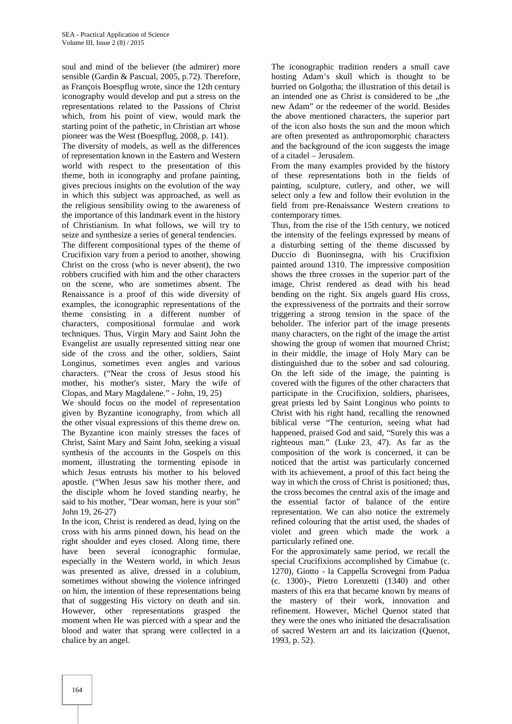soul and mind of the believer (the admirer) more sensible (Gardin & Pascual, 2005, p.72). Therefore, as François Boespflug wrote, since the 12th century iconography would develop and put a stress on the representations related to the Passions of Christ which, from his point of view, would mark the starting point of the pathetic, in Christian art whose pioneer was the West (Boespflug, 2008, p. 141).

The diversity of models, as well as the differences of representation known in the Eastern and Western world with respect to the presentation of this theme, both in iconography and profane painting, gives precious insights on the evolution of the way in which this subject was approached, as well as the religious sensibility owing to the awareness of the importance of this landmark event in the history of Christianism. In what follows, we will try to seize and synthesize a series of general tendencies.

The different compositional types of the theme of Crucifixion vary from a period to another, showing Christ on the cross (who is never absent), the two robbers crucified with him and the other characters on the scene, who are sometimes absent. The Renaissance is a proof of this wide diversity of examples, the iconographic representations of the theme consisting in a different number of characters, compositional formulae and work techniques. Thus, Virgin Mary and Saint John the Evangelist are usually represented sitting near one side of the cross and the other, soldiers, Saint Longinus, sometimes even angles and various characters. ("Near the cross of Jesus stood his mother, his mother's sister, Mary the wife of Clopas, and Mary Magdalene." - John, 19, 25)

We should focus on the model of representation given by Byzantine iconography, from which all the other visual expressions of this theme drew on. The Byzantine icon mainly stresses the faces of Christ, Saint Mary and Saint John, seeking a visual synthesis of the accounts in the Gospels on this moment, illustrating the tormenting episode in which Jesus entrusts his mother to his beloved apostle. ("When Jesus saw his mother there, and the disciple whom he loved standing nearby, he said to his mother, "Dear woman, here is your son" John 19, 26-27)

In the icon, Christ is rendered as dead, lying on the cross with his arms pinned down, his head on the right shoulder and eyes closed. Along time, there have been several iconographic formulae, especially in the Western world, in which Jesus was presented as alive, dressed in a colubium, sometimes without showing the violence infringed on him, the intention of these representations being that of suggesting His victory on death and sin. However, other representations grasped the moment when He was pierced with a spear and the blood and water that sprang were collected in a chalice by an angel.

The iconographic tradition renders a small cave hosting Adam's skull which is thought to be burried on Golgotha; the illustration of this detail is an intended one as Christ is considered to be "the new Adam" or the redeemer of the world. Besides the above mentioned characters, the superior part of the icon also hosts the sun and the moon which are often presented as anthropomorphic characters and the background of the icon suggests the image of a citadel – Jerusalem.

From the many examples provided by the history of these representations both in the fields of painting, sculpture, cutlery, and other, we will select only a few and follow their evolution in the field from pre-Renaissance Western creations to contemporary times.

Thus, from the rise of the 15th century, we noticed the intensity of the feelings expressed by means of a disturbing setting of the theme discussed by Duccio di Buoninsegna, with his Crucifixion painted around 1310. The impressive composition shows the three crosses in the superior part of the image, Christ rendered as dead with his head bending on the right. Six angels guard His cross, the expressiveness of the portraits and their sorrow triggering a strong tension in the space of the beholder. The inferior part of the image presents many characters, on the right of the image the artist showing the group of women that mourned Christ; in their middle, the image of Holy Mary can be distinguished due to the sober and sad colouring. On the left side of the image, the painting is covered with the figures of the other characters that participate in the Crucifixion, soldiers, pharisees, great priests led by Saint Longinus who points to Christ with his right hand, recalling the renowned biblical verse "The centurion, seeing what had happened, praised God and said, "Surely this was a righteous man." (Luke 23, 47). As far as the composition of the work is concerned, it can be noticed that the artist was particularly concerned with its achievement, a proof of this fact being the way in which the cross of Christ is positioned; thus, the cross becomes the central axis of the image and the essential factor of balance of the entire representation. We can also notice the extremely refined colouring that the artist used, the shades of violet and green which made the work a particularly refined one.

For the approximately same period, we recall the special Crucifixions accomplished by Cimabue (c. 1270), Giotto - la Cappella Scrovegni from Padua (c. 1300)-, Pietro Lorenzetti (1340) and other masters of this era that became known by means of the mastery of their work, innovation and refinement. However, Michel Quenot stated that they were the ones who initiated the desacralisation of sacred Western art and its laicization (Quenot, 1993, p. 52).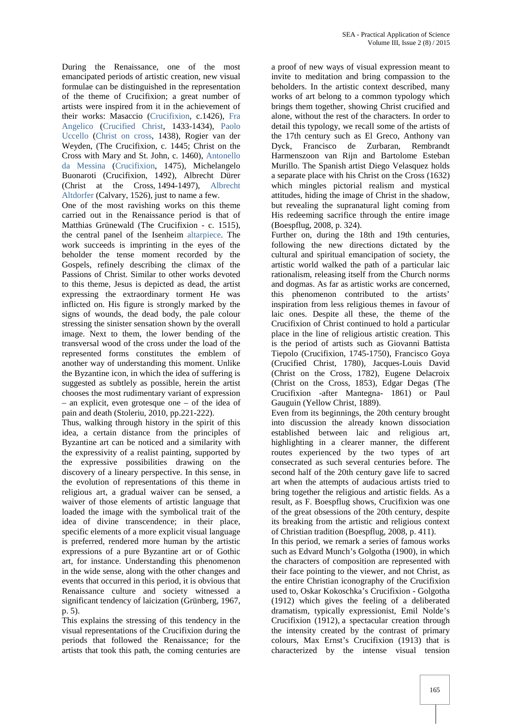During the Renaissance, one of the most emancipated periods of artistic creation, new visual formulae can be distinguished in the representation of the theme of Crucifixion; a great number of artists were inspired from it in the achievement of their works: Masaccio (Crucifixion, c.1426), Fra Angelico (Crucified Christ, 1433-1434), Paolo Uccello (Christ on cross, 1438), Rogier van der Weyden, (The Crucifixion, c. 1445; Christ on the Cross with Mary and St. John, c. 1460), Antonello da Messina (Crucifixion, 1475), Michelangelo Buonaroti (Crucifixion, 1492), Albrecht Dürer (Christ at the Cross, 1494-1497), Albrecht Altdorfer (Calvary, 1526), just to name a few.

One of the most ravishing works on this theme carried out in the Renaissance period is that of Matthias Grünewald (The Crucifixion - c. 1515), the central panel of the Isenheim altarpiece. The work succeeds is imprinting in the eyes of the beholder the tense moment recorded by the Gospels, refinely describing the climax of the Passions of Christ. Similar to other works devoted to this theme, Jesus is depicted as dead, the artist expressing the extraordinary torment He was inflicted on. His figure is strongly marked by the signs of wounds, the dead body, the pale colour stressing the sinister sensation shown by the overall image. Next to them, the lower bending of the transversal wood of the cross under the load of the represented forms constitutes the emblem of another way of understanding this moment. Unlike the Byzantine icon, in which the idea of suffering is suggested as subtlely as possible, herein the artist chooses the most rudimentary variant of expression – an explicit, even grotesque one – of the idea of pain and death (Stoleriu, 2010, pp.221-222).

Thus, walking through history in the spirit of this idea, a certain distance from the principles of Byzantine art can be noticed and a similarity with the expressivity of a realist painting, supported by the expressive possibilities drawing on the discovery of a lineary perspective. In this sense, in the evolution of representations of this theme in religious art, a gradual waiver can be sensed, a waiver of those elements of artistic language that loaded the image with the symbolical trait of the idea of divine transcendence; in their place, specific elements of a more explicit visual language is preferred, rendered more human by the artistic expressions of a pure Byzantine art or of Gothic art, for instance. Understanding this phenomenon in the wide sense, along with the other changes and events that occurred in this period, it is obvious that Renaissance culture and society witnessed a significant tendency of laicization (Grünberg, 1967, p. 5).

This explains the stressing of this tendency in the visual representations of the Crucifixion during the periods that followed the Renaissance; for the artists that took this path, the coming centuries are

a proof of new ways of visual expression meant to invite to meditation and bring compassion to the beholders. In the artistic context described, many works of art belong to a common typology which brings them together, showing Christ crucified and alone, without the rest of the characters. In order to detail this typology, we recall some of the artists of the 17th century such as El Greco, Anthony van Dyck, Francisco de Zurbaran, Rembrandt Harmenszoon van Rijn and Bartolome Esteban Murillo. The Spanish artist Diego Velasquez holds a separate place with his Christ on the Cross (1632) which mingles pictorial realism and mystical attitudes, hiding the image of Christ in the shadow, but revealing the supranatural light coming from His redeeming sacrifice through the entire image (Boespflug, 2008, p. 324).

Further on, during the 18th and 19th centuries, following the new directions dictated by the cultural and spiritual emancipation of society, the artistic world walked the path of a particular laic rationalism, releasing itself from the Church norms and dogmas. As far as artistic works are concerned, this phenomenon contributed to the artists' inspiration from less religious themes in favour of laic ones. Despite all these, the theme of the Crucifixion of Christ continued to hold a particular place in the line of religious artistic creation. This is the period of artists such as Giovanni Battista Tiepolo (Crucifixion, 1745-1750), Francisco Goya (Crucified Christ, 1780), Jacques-Louis David (Christ on the Cross, 1782), Eugene Delacroix (Christ on the Cross, 1853), Edgar Degas (The Crucifixion -after Mantegna- 1861) or Paul Gauguin (Yellow Christ, 1889).

Even from its beginnings, the 20th century brought into discussion the already known dissociation established between laic and religious art, highlighting in a clearer manner, the different routes experienced by the two types of art consecrated as such several centuries before. The second half of the 20th century gave life to sacred art when the attempts of audacious artists tried to bring together the religious and artistic fields. As a result, as F. Boespflug shows, Crucifixion was one of the great obsessions of the 20th century, despite its breaking from the artistic and religious context of Christian tradition (Boespflug, 2008, p. 411).

In this period, we remark a series of famous works such as Edvard Munch's Golgotha (1900), in which the characters of composition are represented with their face pointing to the viewer, and not Christ, as the entire Christian iconography of the Crucifixion used to, Oskar Kokoschka's Crucifixion - Golgotha (1912) which gives the feeling of a deliberated dramatism, typically expressionist, Emil Nolde's Crucifixion (1912), a spectacular creation through the intensity created by the contrast of primary colours, Max Ernst's Crucifixion (1913) that is characterized by the intense visual tension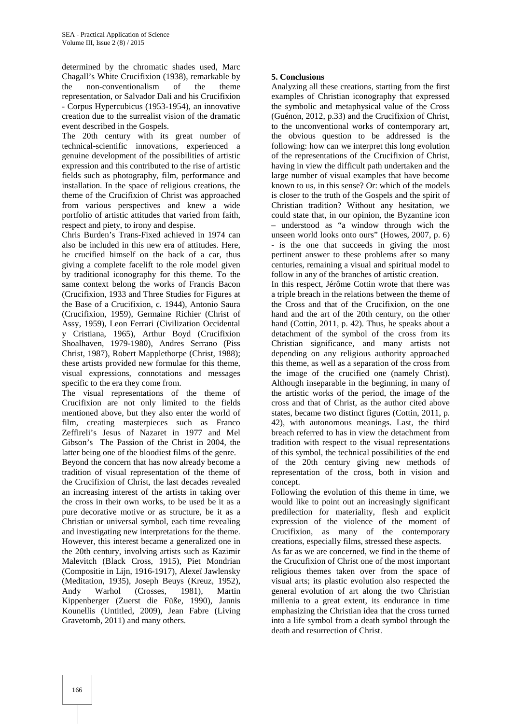determined by the chromatic shades used, Marc Chagall's White Crucifixion (1938), remarkable by the non-conventionalism of the theme representation, or Salvador Dali and his Crucifixion - Corpus Hypercubicus (1953-1954), an innovative creation due to the surrealist vision of the dramatic event described in the Gospels.

The 20th century with its great number of technical-scientific innovations, experienced a genuine development of the possibilities of artistic expression and this contributed to the rise of artistic fields such as photography, film, performance and installation. In the space of religious creations, the theme of the Crucifixion of Christ was approached from various perspectives and knew a wide portfolio of artistic attitudes that varied from faith, respect and piety, to irony and despise.

Chris Burden's Trans-Fixed achieved in 1974 can also be included in this new era of attitudes. Here, he crucified himself on the back of a car, thus giving a complete facelift to the role model given by traditional iconography for this theme. To the same context belong the works of Francis Bacon (Crucifixion, 1933 and Three Studies for Figures at the Base of a Crucifixion, c. 1944), Antonio Saura (Crucifixion, 1959), Germaine Richier (Christ of Assy, 1959), Leon Ferrari (Civilization Occidental y Cristiana, 1965), Arthur Boyd (Crucifixion Shoalhaven, 1979-1980), Andres Serrano (Piss Christ, 1987), Robert Mapplethorpe (Christ, 1988); these artists provided new formulae for this theme, visual expressions, connotations and messages specific to the era they come from.

The visual representations of the theme of Crucifixion are not only limited to the fields mentioned above, but they also enter the world of film, creating masterpieces such as Franco Zeffireli's Jesus of Nazaret in 1977 and Mel Gibson's The Passion of the Christ in 2004, the latter being one of the bloodiest films of the genre.

Beyond the concern that has now already become a tradition of visual representation of the theme of the Crucifixion of Christ, the last decades revealed an increasing interest of the artists in taking over the cross in their own works, to be used be it as a pure decorative motive or as structure, be it as a Christian or universal symbol, each time revealing and investigating new interpretations for the theme. However, this interest became a generalized one in the 20th century, involving artists such as Kazimir Malevitch (Black Cross, 1915), Piet Mondrian (Compositie in Lijn, 1916-1917), Alexeï Jawlensky (Meditation, 1935), Joseph Beuys (Kreuz, 1952), Andy Warhol (Crosses, 1981), Martin Kippenberger (Zuerst die Füße, 1990), Jannis Kounellis (Untitled, 2009), Jean Fabre (Living Gravetomb, 2011) and many others.

# **5. Conclusions**

Analyzing all these creations, starting from the first examples of Christian iconography that expressed the symbolic and metaphysical value of the Cross (Guénon, 2012, p.33) and the Crucifixion of Christ, to the unconventional works of contemporary art, the obvious question to be addressed is the following: how can we interpret this long evolution of the representations of the Crucifixion of Christ, having in view the difficult path undertaken and the large number of visual examples that have become known to us, in this sense? Or: which of the models is closer to the truth of the Gospels and the spirit of Christian tradition? Without any hesitation, we could state that, in our opinion, the Byzantine icon – understood as "a window through wich the unseen world looks onto ours" (Howes, 2007, p. 6) - is the one that succeeds in giving the most pertinent answer to these problems after so many centuries, remaining a visual and spiritual model to follow in any of the branches of artistic creation.

In this respect, Jérôme Cottin wrote that there was a triple breach in the relations between the theme of the Cross and that of the Crucifixion, on the one hand and the art of the 20th century, on the other hand (Cottin, 2011, p. 42). Thus, he speaks about a detachment of the symbol of the cross from its Christian significance, and many artists not depending on any religious authority approached this theme, as well as a separation of the cross from the image of the crucified one (namely Christ). Although inseparable in the beginning, in many of the artistic works of the period, the image of the cross and that of Christ, as the author cited above states, became two distinct figures (Cottin, 2011, p. 42), with autonomous meanings. Last, the third breach referred to has in view the detachment from tradition with respect to the visual representations of this symbol, the technical possibilities of the end of the 20th century giving new methods of representation of the cross, both in vision and concept.

Following the evolution of this theme in time, we would like to point out an increasingly significant predilection for materiality, flesh and explicit expression of the violence of the moment of Crucifixion, as many of the contemporary creations, especially films, stressed these aspects.

As far as we are concerned, we find in the theme of the Crucufixion of Christ one of the most important religious themes taken over from the space of visual arts; its plastic evolution also respected the general evolution of art along the two Christian millenia to a great extent, its endurance in time emphasizing the Christian idea that the cross turned into a life symbol from a death symbol through the death and resurrection of Christ.